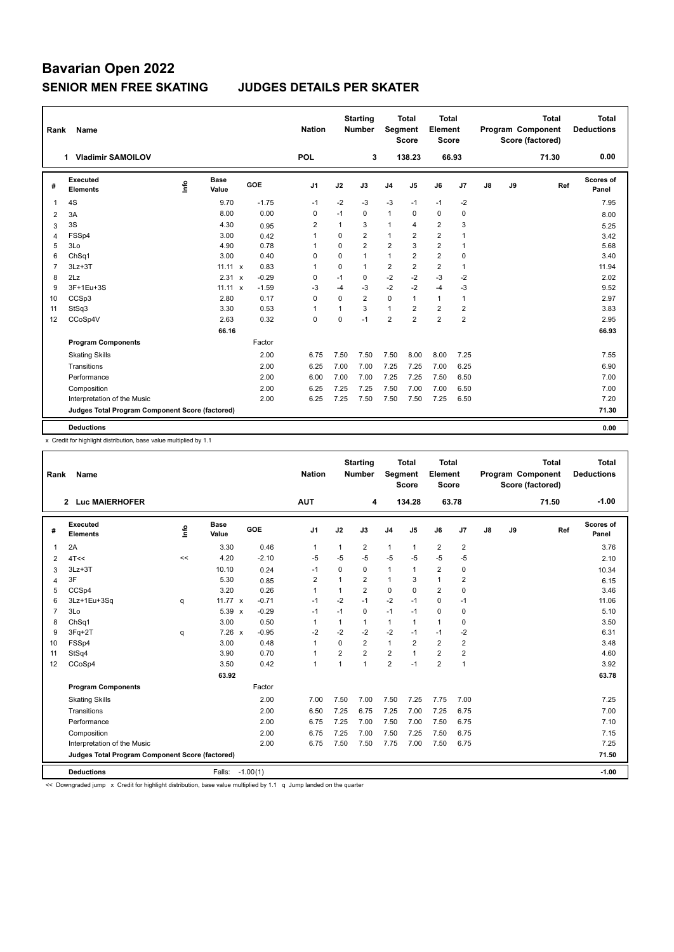# **Bavarian Open 2022 SENIOR MEN FREE SKATING JUDGES DETAILS PER SKATER**

| Rank           | <b>Name</b>                                     |      |                      |         | <b>Nation</b>  |             | <b>Starting</b><br><b>Number</b> | Segment        | <b>Total</b><br><b>Score</b> | Total<br>Element<br><b>Score</b> |                |               |    | <b>Total</b><br>Program Component<br>Score (factored) | Total<br><b>Deductions</b> |
|----------------|-------------------------------------------------|------|----------------------|---------|----------------|-------------|----------------------------------|----------------|------------------------------|----------------------------------|----------------|---------------|----|-------------------------------------------------------|----------------------------|
|                | <b>Vladimir SAMOILOV</b><br>1                   |      |                      |         | <b>POL</b>     |             | 3                                |                | 138.23                       |                                  | 66.93          |               |    | 71.30                                                 | 0.00                       |
| #              | <b>Executed</b><br><b>Elements</b>              | lnfo | <b>Base</b><br>Value | GOE     | J <sub>1</sub> | J2          | J3                               | J4             | J5                           | J6                               | J7             | $\mathsf{J}8$ | J9 | Ref                                                   | <b>Scores of</b><br>Panel  |
| $\overline{1}$ | 4S                                              |      | 9.70                 | $-1.75$ | $-1$           | $-2$        | $-3$                             | $-3$           | $-1$                         | $-1$                             | -2             |               |    |                                                       | 7.95                       |
| 2              | 3A                                              |      | 8.00                 | 0.00    | 0              | $-1$        | 0                                | $\mathbf{1}$   | $\Omega$                     | $\mathbf 0$                      | 0              |               |    |                                                       | 8.00                       |
| 3              | 3S                                              |      | 4.30                 | 0.95    | 2              | 1           | 3                                | $\mathbf{1}$   | 4                            | $\overline{2}$                   | 3              |               |    |                                                       | 5.25                       |
| 4              | FSSp4                                           |      | 3.00                 | 0.42    | $\mathbf{1}$   | $\Omega$    | $\overline{2}$                   | $\mathbf{1}$   | 2                            | $\overline{2}$                   | $\mathbf{1}$   |               |    |                                                       | 3.42                       |
| 5              | 3Lo                                             |      | 4.90                 | 0.78    | 1              | $\mathbf 0$ | $\overline{2}$                   | $\overline{2}$ | 3                            | $\overline{2}$                   | $\overline{1}$ |               |    |                                                       | 5.68                       |
| 6              | Ch <sub>Sq1</sub>                               |      | 3.00                 | 0.40    | 0              | $\Omega$    | $\mathbf{1}$                     | $\mathbf{1}$   | 2                            | $\overline{2}$                   | 0              |               |    |                                                       | 3.40                       |
| $\overline{7}$ | $3Lz + 3T$                                      |      | $11.11 \times$       | 0.83    | 1              | $\mathbf 0$ | $\mathbf{1}$                     | $\overline{2}$ | $\overline{2}$               | $\overline{2}$                   | $\mathbf{1}$   |               |    |                                                       | 11.94                      |
| 8              | 2Lz                                             |      | 2.31 x               | $-0.29$ | 0              | $-1$        | 0                                | $-2$           | $-2$                         | $-3$                             | $-2$           |               |    |                                                       | 2.02                       |
| 9              | 3F+1Eu+3S                                       |      | $11.11 \times$       | $-1.59$ | -3             | $-4$        | $-3$                             | $-2$           | $-2$                         | $-4$                             | $-3$           |               |    |                                                       | 9.52                       |
| 10             | CCSp3                                           |      | 2.80                 | 0.17    | $\mathbf 0$    | $\Omega$    | $\overline{2}$                   | $\mathbf 0$    | 1                            | $\mathbf{1}$                     | $\mathbf{1}$   |               |    |                                                       | 2.97                       |
| 11             | StSq3                                           |      | 3.30                 | 0.53    | 1              |             | 3                                | $\mathbf{1}$   | $\overline{2}$               | $\overline{2}$                   | $\overline{2}$ |               |    |                                                       | 3.83                       |
| 12             | CCoSp4V                                         |      | 2.63                 | 0.32    | 0              | $\Omega$    | $-1$                             | $\overline{2}$ | $\overline{2}$               | $\overline{2}$                   | $\overline{2}$ |               |    |                                                       | 2.95                       |
|                |                                                 |      | 66.16                |         |                |             |                                  |                |                              |                                  |                |               |    |                                                       | 66.93                      |
|                | <b>Program Components</b>                       |      |                      | Factor  |                |             |                                  |                |                              |                                  |                |               |    |                                                       |                            |
|                | <b>Skating Skills</b>                           |      |                      | 2.00    | 6.75           | 7.50        | 7.50                             | 7.50           | 8.00                         | 8.00                             | 7.25           |               |    |                                                       | 7.55                       |
|                | Transitions                                     |      |                      | 2.00    | 6.25           | 7.00        | 7.00                             | 7.25           | 7.25                         | 7.00                             | 6.25           |               |    |                                                       | 6.90                       |
|                | Performance                                     |      |                      | 2.00    | 6.00           | 7.00        | 7.00                             | 7.25           | 7.25                         | 7.50                             | 6.50           |               |    |                                                       | 7.00                       |
|                | Composition                                     |      |                      | 2.00    | 6.25           | 7.25        | 7.25                             | 7.50           | 7.00                         | 7.00                             | 6.50           |               |    |                                                       | 7.00                       |
|                | Interpretation of the Music                     |      |                      | 2.00    | 6.25           | 7.25        | 7.50                             | 7.50           | 7.50                         | 7.25                             | 6.50           |               |    |                                                       | 7.20                       |
|                | Judges Total Program Component Score (factored) |      |                      |         |                |             |                                  |                |                              |                                  |                |               |    |                                                       | 71.30                      |
|                | <b>Deductions</b>                               |      |                      |         |                |             |                                  |                |                              |                                  |                |               |    |                                                       | 0.00                       |

x Credit for highlight distribution, base value multiplied by 1.1

| Rank           | Name                                            |    |                 |         | <b>Nation</b>  |          | <b>Starting</b><br><b>Number</b> | Segment        | <b>Total</b><br><b>Score</b> | <b>Total</b><br>Element<br><b>Score</b> |                         |    |    | <b>Total</b><br>Program Component<br>Score (factored) | <b>Total</b><br><b>Deductions</b> |
|----------------|-------------------------------------------------|----|-----------------|---------|----------------|----------|----------------------------------|----------------|------------------------------|-----------------------------------------|-------------------------|----|----|-------------------------------------------------------|-----------------------------------|
|                | 2 Luc MAIERHOFER                                |    |                 |         | <b>AUT</b>     |          | 4                                |                | 134.28                       | 63.78                                   |                         |    |    | 71.50                                                 | $-1.00$                           |
| #              | Executed<br><b>Elements</b>                     | ۴٥ | Base<br>Value   | GOE     | J <sub>1</sub> | J2       | J3                               | J <sub>4</sub> | J <sub>5</sub>               | J6                                      | J7                      | J8 | J9 | Ref                                                   | <b>Scores of</b><br>Panel         |
| 1              | 2A                                              |    | 3.30            | 0.46    | 1              | 1        | 2                                | $\mathbf{1}$   | 1                            | 2                                       | 2                       |    |    |                                                       | 3.76                              |
| 2              | 4T<<                                            | << | 4.20            | $-2.10$ | -5             | $-5$     | $-5$                             | $-5$           | $-5$                         | $-5$                                    | $-5$                    |    |    |                                                       | 2.10                              |
| 3              | $3Lz + 3T$                                      |    | 10.10           | 0.24    | $-1$           | 0        | 0                                | $\mathbf{1}$   | 1                            | $\overline{2}$                          | 0                       |    |    |                                                       | 10.34                             |
| 4              | 3F                                              |    | 5.30            | 0.85    | $\overline{2}$ | 1        | $\overline{2}$                   | $\mathbf{1}$   | 3                            | $\mathbf{1}$                            | $\overline{2}$          |    |    |                                                       | 6.15                              |
| 5              | CCSp4                                           |    | 3.20            | 0.26    | 1              | 1        | $\overline{2}$                   | $\mathbf 0$    | $\Omega$                     | $\overline{2}$                          | 0                       |    |    |                                                       | 3.46                              |
| 6              | 3Lz+1Eu+3Sq                                     | q  | 11.77 x         | $-0.71$ | $-1$           | $-2$     | $-1$                             | $-2$           | $-1$                         | 0                                       | $-1$                    |    |    |                                                       | 11.06                             |
| $\overline{7}$ | 3Lo                                             |    | 5.39 x          | $-0.29$ | $-1$           | $-1$     | 0                                | $-1$           | $-1$                         | $\mathbf 0$                             | 0                       |    |    |                                                       | 5.10                              |
| 8              | ChSq1                                           |    | 3.00            | 0.50    | 1              | 1        | 1                                | $\mathbf{1}$   | 1                            | $\mathbf{1}$                            | $\mathbf 0$             |    |    |                                                       | 3.50                              |
| 9              | 3Fq+2T                                          | q  | 7.26 x          | $-0.95$ | $-2$           | $-2$     | $-2$                             | $-2$           | $-1$                         | $-1$                                    | $-2$                    |    |    |                                                       | 6.31                              |
| 10             | FSSp4                                           |    | 3.00            | 0.48    | $\mathbf{1}$   | $\Omega$ | $\overline{2}$                   | $\mathbf{1}$   | $\overline{2}$               | $\overline{2}$                          | $\overline{2}$          |    |    |                                                       | 3.48                              |
| 11             | StSq4                                           |    | 3.90            | 0.70    | $\mathbf{1}$   | 2        | 2                                | $\overline{2}$ | 1                            | $\overline{2}$                          | $\overline{\mathbf{c}}$ |    |    |                                                       | 4.60                              |
| 12             | CCoSp4                                          |    | 3.50            | 0.42    | $\mathbf{1}$   | 1        | 1                                | $\overline{2}$ | $-1$                         | $\overline{2}$                          | $\mathbf{1}$            |    |    |                                                       | 3.92                              |
|                |                                                 |    | 63.92           |         |                |          |                                  |                |                              |                                         |                         |    |    |                                                       | 63.78                             |
|                | <b>Program Components</b>                       |    |                 | Factor  |                |          |                                  |                |                              |                                         |                         |    |    |                                                       |                                   |
|                | <b>Skating Skills</b>                           |    |                 | 2.00    | 7.00           | 7.50     | 7.00                             | 7.50           | 7.25                         | 7.75                                    | 7.00                    |    |    |                                                       | 7.25                              |
|                | Transitions                                     |    |                 | 2.00    | 6.50           | 7.25     | 6.75                             | 7.25           | 7.00                         | 7.25                                    | 6.75                    |    |    |                                                       | 7.00                              |
|                | Performance                                     |    |                 | 2.00    | 6.75           | 7.25     | 7.00                             | 7.50           | 7.00                         | 7.50                                    | 6.75                    |    |    |                                                       | 7.10                              |
|                | Composition                                     |    |                 | 2.00    | 6.75           | 7.25     | 7.00                             | 7.50           | 7.25                         | 7.50                                    | 6.75                    |    |    |                                                       | 7.15                              |
|                | Interpretation of the Music                     |    |                 | 2.00    | 6.75           | 7.50     | 7.50                             | 7.75           | 7.00                         | 7.50                                    | 6.75                    |    |    |                                                       | 7.25                              |
|                | Judges Total Program Component Score (factored) |    |                 |         |                |          |                                  |                |                              |                                         |                         |    |    |                                                       | 71.50                             |
|                | <b>Deductions</b>                               |    | Falls: -1.00(1) |         |                |          |                                  |                |                              |                                         |                         |    |    |                                                       | $-1.00$                           |

<< Downgraded jump x Credit for highlight distribution, base value multiplied by 1.1 q Jump landed on the quarter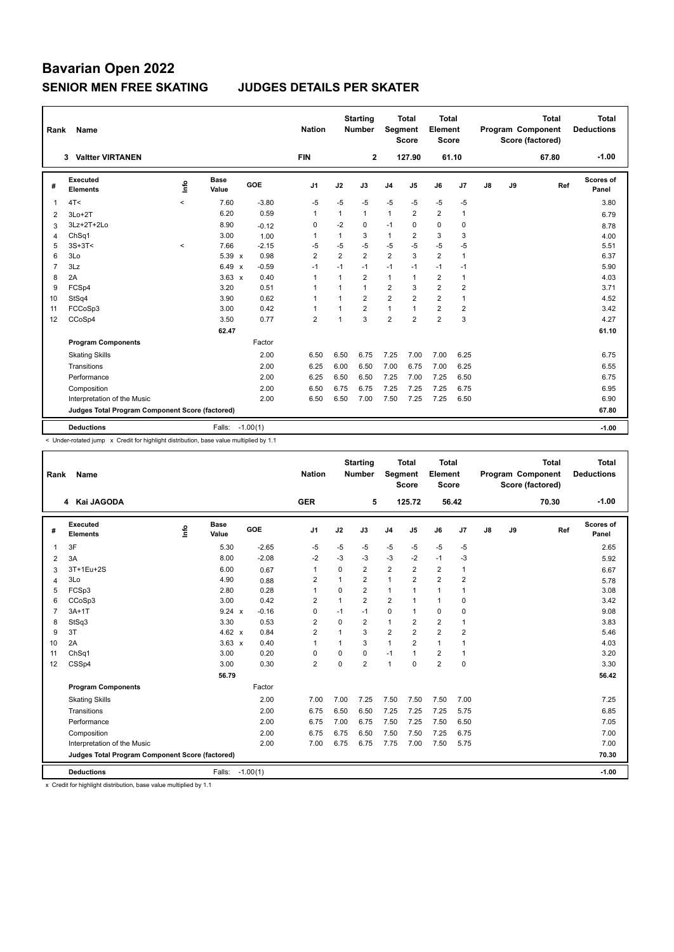# **Bavarian Open 2022 SENIOR MEN FREE SKATING JUDGES DETAILS PER SKATER**

| Rank           | <b>Name</b>                                     |                          |                      |            | <b>Nation</b>  |                | <b>Starting</b><br><b>Number</b> | Segment        | Total<br><b>Score</b> | Total<br>Element<br><b>Score</b> |                |    |    | <b>Total</b><br>Program Component<br>Score (factored) | Total<br><b>Deductions</b> |
|----------------|-------------------------------------------------|--------------------------|----------------------|------------|----------------|----------------|----------------------------------|----------------|-----------------------|----------------------------------|----------------|----|----|-------------------------------------------------------|----------------------------|
|                | <b>Valtter VIRTANEN</b><br>3                    |                          |                      |            | <b>FIN</b>     |                | $\mathbf{2}$                     |                | 127.90                | 61.10                            |                |    |    | 67.80                                                 | $-1.00$                    |
| #              | Executed<br><b>Elements</b>                     | lnfo                     | <b>Base</b><br>Value | GOE        | J1             | J2             | J3                               | J <sub>4</sub> | J <sub>5</sub>        | J6                               | J7             | J8 | J9 | Ref                                                   | Scores of<br>Panel         |
| $\mathbf{1}$   | 4T<                                             | $\overline{\phantom{a}}$ | 7.60                 | $-3.80$    | $-5$           | $-5$           | $-5$                             | $-5$           | $-5$                  | $-5$                             | $-5$           |    |    |                                                       | 3.80                       |
| 2              | $3Lo+2T$                                        |                          | 6.20                 | 0.59       | $\mathbf{1}$   | $\mathbf{1}$   | $\mathbf{1}$                     | $\mathbf{1}$   | $\overline{2}$        | $\overline{2}$                   | $\mathbf{1}$   |    |    |                                                       | 6.79                       |
| 3              | 3Lz+2T+2Lo                                      |                          | 8.90                 | $-0.12$    | 0              | $-2$           | 0                                | $-1$           | $\Omega$              | $\mathbf 0$                      | 0              |    |    |                                                       | 8.78                       |
| 4              | ChSq1                                           |                          | 3.00                 | 1.00       | 1              | 1              | 3                                | $\mathbf{1}$   | $\overline{2}$        | 3                                | 3              |    |    |                                                       | 4.00                       |
| 5              | $3S+3T<$                                        | $\prec$                  | 7.66                 | $-2.15$    | $-5$           | $-5$           | $-5$                             | $-5$           | $-5$                  | $-5$                             | $-5$           |    |    |                                                       | 5.51                       |
| 6              | 3Lo                                             |                          | 5.39 x               | 0.98       | $\overline{2}$ | $\overline{2}$ | $\overline{2}$                   | $\overline{2}$ | 3                     | $\overline{2}$                   | $\mathbf{1}$   |    |    |                                                       | 6.37                       |
| $\overline{7}$ | 3Lz                                             |                          | 6.49<br>$\mathsf{x}$ | $-0.59$    | $-1$           | $-1$           | $-1$                             | $-1$           | $-1$                  | $-1$                             | $-1$           |    |    |                                                       | 5.90                       |
| 8              | 2A                                              |                          | $3.63 \times$        | 0.40       | $\mathbf{1}$   | 1              | $\overline{2}$                   | $\mathbf{1}$   | 1                     | $\overline{2}$                   | $\mathbf{1}$   |    |    |                                                       | 4.03                       |
| 9              | FCSp4                                           |                          | 3.20                 | 0.51       | 1              |                | $\mathbf{1}$                     | $\overline{2}$ | 3                     | $\overline{2}$                   | $\overline{2}$ |    |    |                                                       | 3.71                       |
| 10             | StSq4                                           |                          | 3.90                 | 0.62       | 1              |                | $\overline{2}$                   | $\overline{2}$ | $\overline{2}$        | $\overline{2}$                   | $\mathbf{1}$   |    |    |                                                       | 4.52                       |
| 11             | FCCoSp3                                         |                          | 3.00                 | 0.42       | $\mathbf{1}$   | $\overline{ }$ | $\overline{2}$                   | $\mathbf{1}$   | $\overline{1}$        | $\overline{2}$                   | $\overline{2}$ |    |    |                                                       | 3.42                       |
| 12             | CCoSp4                                          |                          | 3.50                 | 0.77       | $\overline{2}$ |                | 3                                | $\overline{2}$ | $\overline{2}$        | $\overline{2}$                   | 3              |    |    |                                                       | 4.27                       |
|                |                                                 |                          | 62.47                |            |                |                |                                  |                |                       |                                  |                |    |    |                                                       | 61.10                      |
|                | <b>Program Components</b>                       |                          |                      | Factor     |                |                |                                  |                |                       |                                  |                |    |    |                                                       |                            |
|                | <b>Skating Skills</b>                           |                          |                      | 2.00       | 6.50           | 6.50           | 6.75                             | 7.25           | 7.00                  | 7.00                             | 6.25           |    |    |                                                       | 6.75                       |
|                | Transitions                                     |                          |                      | 2.00       | 6.25           | 6.00           | 6.50                             | 7.00           | 6.75                  | 7.00                             | 6.25           |    |    |                                                       | 6.55                       |
|                | Performance                                     |                          |                      | 2.00       | 6.25           | 6.50           | 6.50                             | 7.25           | 7.00                  | 7.25                             | 6.50           |    |    |                                                       | 6.75                       |
|                | Composition                                     |                          |                      | 2.00       | 6.50           | 6.75           | 6.75                             | 7.25           | 7.25                  | 7.25                             | 6.75           |    |    |                                                       | 6.95                       |
|                | Interpretation of the Music                     |                          |                      | 2.00       | 6.50           | 6.50           | 7.00                             | 7.50           | 7.25                  | 7.25                             | 6.50           |    |    |                                                       | 6.90                       |
|                | Judges Total Program Component Score (factored) |                          |                      |            |                |                |                                  |                |                       |                                  |                |    |    |                                                       | 67.80                      |
|                | <b>Deductions</b>                               |                          | Falls:               | $-1.00(1)$ |                |                |                                  |                |                       |                                  |                |    |    |                                                       | $-1.00$                    |

< Under-rotated jump x Credit for highlight distribution, base value multiplied by 1.1

| Rank           | Name                                            |      |                      |            | <b>Nation</b>  |                | <b>Starting</b><br><b>Number</b> | Segment        | <b>Total</b><br><b>Score</b> | <b>Total</b><br>Element<br><b>Score</b> |                |    |    | <b>Total</b><br>Program Component<br>Score (factored) | <b>Total</b><br><b>Deductions</b> |
|----------------|-------------------------------------------------|------|----------------------|------------|----------------|----------------|----------------------------------|----------------|------------------------------|-----------------------------------------|----------------|----|----|-------------------------------------------------------|-----------------------------------|
|                | 4 Kai JAGODA                                    |      |                      |            | <b>GER</b>     |                | 5                                |                | 125.72                       |                                         | 56.42          |    |    | 70.30                                                 | $-1.00$                           |
| #              | Executed<br><b>Elements</b>                     | lnfo | <b>Base</b><br>Value | GOE        | J <sub>1</sub> | J2             | J3                               | J <sub>4</sub> | J <sub>5</sub>               | J6                                      | J7             | J8 | J9 | Ref                                                   | Scores of<br>Panel                |
| 1              | 3F                                              |      | 5.30                 | $-2.65$    | $-5$           | $-5$           | -5                               | $-5$           | $-5$                         | $-5$                                    | $-5$           |    |    |                                                       | 2.65                              |
| 2              | 3A                                              |      | 8.00                 | $-2.08$    | $-2$           | -3             | -3                               | $-3$           | $-2$                         | $-1$                                    | $-3$           |    |    |                                                       | 5.92                              |
| 3              | 3T+1Eu+2S                                       |      | 6.00                 | 0.67       | $\overline{1}$ | 0              | $\overline{2}$                   | $\overline{2}$ | $\overline{2}$               | $\overline{2}$                          | 1              |    |    |                                                       | 6.67                              |
| $\overline{4}$ | 3Lo                                             |      | 4.90                 | 0.88       | $\overline{2}$ | $\mathbf{1}$   | $\overline{2}$                   | 1              | $\overline{2}$               | $\overline{2}$                          | $\overline{2}$ |    |    |                                                       | 5.78                              |
| 5              | FCSp3                                           |      | 2.80                 | 0.28       | $\overline{1}$ | $\Omega$       | $\overline{2}$                   | $\mathbf{1}$   | 1                            | $\mathbf{1}$                            | 1              |    |    |                                                       | 3.08                              |
| 6              | CCoSp3                                          |      | 3.00                 | 0.42       | $\overline{2}$ | $\mathbf{1}$   | $\overline{2}$                   | $\overline{2}$ | 1                            | $\mathbf{1}$                            | 0              |    |    |                                                       | 3.42                              |
| $\overline{7}$ | $3A+1T$                                         |      | 9.24 x               | $-0.16$    | 0              | $-1$           | $-1$                             | $\mathbf 0$    | 1                            | $\mathbf 0$                             | 0              |    |    |                                                       | 9.08                              |
| 8              | StSq3                                           |      | 3.30                 | 0.53       | $\overline{2}$ | $\Omega$       | $\overline{2}$                   | $\mathbf{1}$   | $\overline{2}$               | $\overline{2}$                          | 1              |    |    |                                                       | 3.83                              |
| 9              | 3T                                              |      | 4.62 $x$             | 0.84       | $\overline{2}$ | $\overline{1}$ | 3                                | $\overline{2}$ | $\overline{2}$               | $\overline{2}$                          | $\overline{2}$ |    |    |                                                       | 5.46                              |
| 10             | 2A                                              |      | $3.63 \times$        | 0.40       | 1              | $\mathbf{1}$   | 3                                | $\mathbf{1}$   | 2                            | $\mathbf{1}$                            | 1              |    |    |                                                       | 4.03                              |
| 11             | ChSq1                                           |      | 3.00                 | 0.20       | $\Omega$       | $\mathbf 0$    | $\Omega$                         | $-1$           | 1                            | $\overline{2}$                          | 1              |    |    |                                                       | 3.20                              |
| 12             | CSSp4                                           |      | 3.00                 | 0.30       | $\overline{2}$ | $\mathbf 0$    | $\overline{2}$                   | $\mathbf{1}$   | $\mathbf 0$                  | $\overline{2}$                          | $\mathbf 0$    |    |    |                                                       | 3.30                              |
|                |                                                 |      | 56.79                |            |                |                |                                  |                |                              |                                         |                |    |    |                                                       | 56.42                             |
|                | <b>Program Components</b>                       |      |                      | Factor     |                |                |                                  |                |                              |                                         |                |    |    |                                                       |                                   |
|                | <b>Skating Skills</b>                           |      |                      | 2.00       | 7.00           | 7.00           | 7.25                             | 7.50           | 7.50                         | 7.50                                    | 7.00           |    |    |                                                       | 7.25                              |
|                | Transitions                                     |      |                      | 2.00       | 6.75           | 6.50           | 6.50                             | 7.25           | 7.25                         | 7.25                                    | 5.75           |    |    |                                                       | 6.85                              |
|                | Performance                                     |      |                      | 2.00       | 6.75           | 7.00           | 6.75                             | 7.50           | 7.25                         | 7.50                                    | 6.50           |    |    |                                                       | 7.05                              |
|                | Composition                                     |      |                      | 2.00       | 6.75           | 6.75           | 6.50                             | 7.50           | 7.50                         | 7.25                                    | 6.75           |    |    |                                                       | 7.00                              |
|                | Interpretation of the Music                     |      |                      | 2.00       | 7.00           | 6.75           | 6.75                             | 7.75           | 7.00                         | 7.50                                    | 5.75           |    |    |                                                       | 7.00                              |
|                | Judges Total Program Component Score (factored) |      |                      |            |                |                |                                  |                |                              |                                         |                |    |    |                                                       | 70.30                             |
|                | <b>Deductions</b>                               |      | Falls:               | $-1.00(1)$ |                |                |                                  |                |                              |                                         |                |    |    |                                                       | $-1.00$                           |

x Credit for highlight distribution, base value multiplied by 1.1